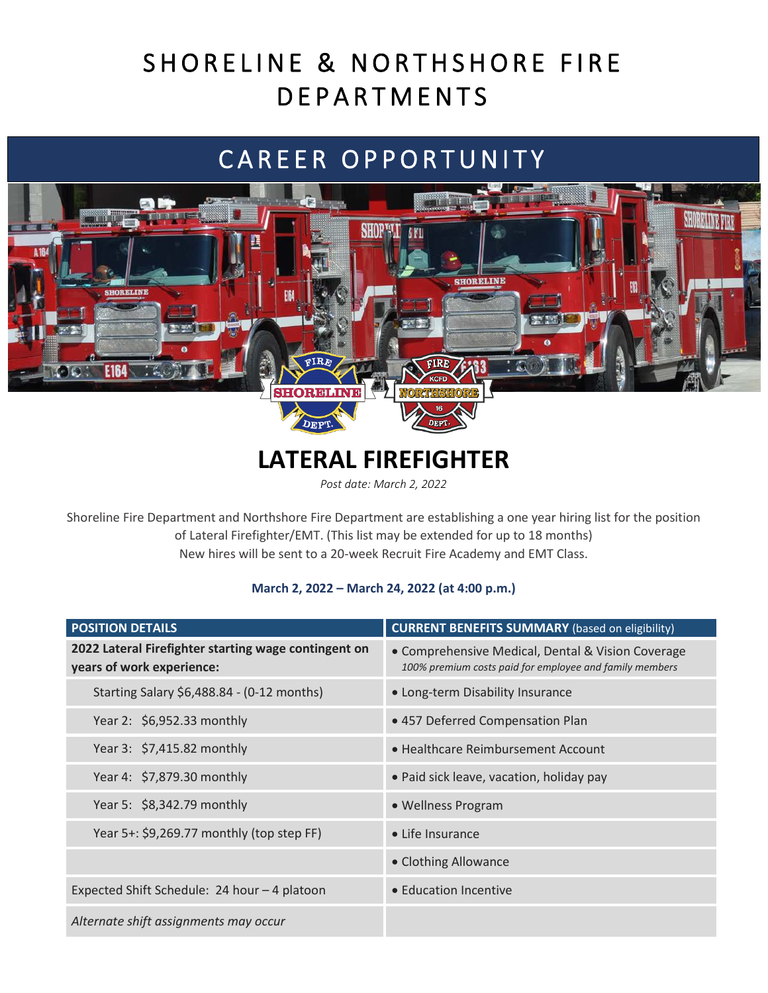# SHORELINE & NORTHSHORE FIRE **DEPARTMENTS**

## CAREER OPPORTUNITY



### **LATERAL FIREFIGHTER**

**DEPT** 

*Post date: March 2, 2022*

Shoreline Fire Department and Northshore Fire Department are establishing a one year hiring list for the position of Lateral Firefighter/EMT. (This list may be extended for up to 18 months) New hires will be sent to a 20-week Recruit Fire Academy and EMT Class.

#### **March 2, 2022 – March 24, 2022 (at 4:00 p.m.)**

| <b>POSITION DETAILS</b>                                                           | <b>CURRENT BENEFITS SUMMARY</b> (based on eligibility)                                                       |
|-----------------------------------------------------------------------------------|--------------------------------------------------------------------------------------------------------------|
| 2022 Lateral Firefighter starting wage contingent on<br>years of work experience: | • Comprehensive Medical, Dental & Vision Coverage<br>100% premium costs paid for employee and family members |
| Starting Salary \$6,488.84 - (0-12 months)                                        | • Long-term Disability Insurance                                                                             |
| Year 2: \$6,952.33 monthly                                                        | • 457 Deferred Compensation Plan                                                                             |
| Year 3: \$7,415.82 monthly                                                        | • Healthcare Reimbursement Account                                                                           |
| Year 4: \$7,879.30 monthly                                                        | • Paid sick leave, vacation, holiday pay                                                                     |
| Year 5: \$8,342.79 monthly                                                        | • Wellness Program                                                                                           |
| Year 5+: \$9,269.77 monthly (top step FF)                                         | • Life Insurance                                                                                             |
|                                                                                   | • Clothing Allowance                                                                                         |
| Expected Shift Schedule: 24 hour - 4 platoon                                      | • Education Incentive                                                                                        |
| Alternate shift assignments may occur                                             |                                                                                                              |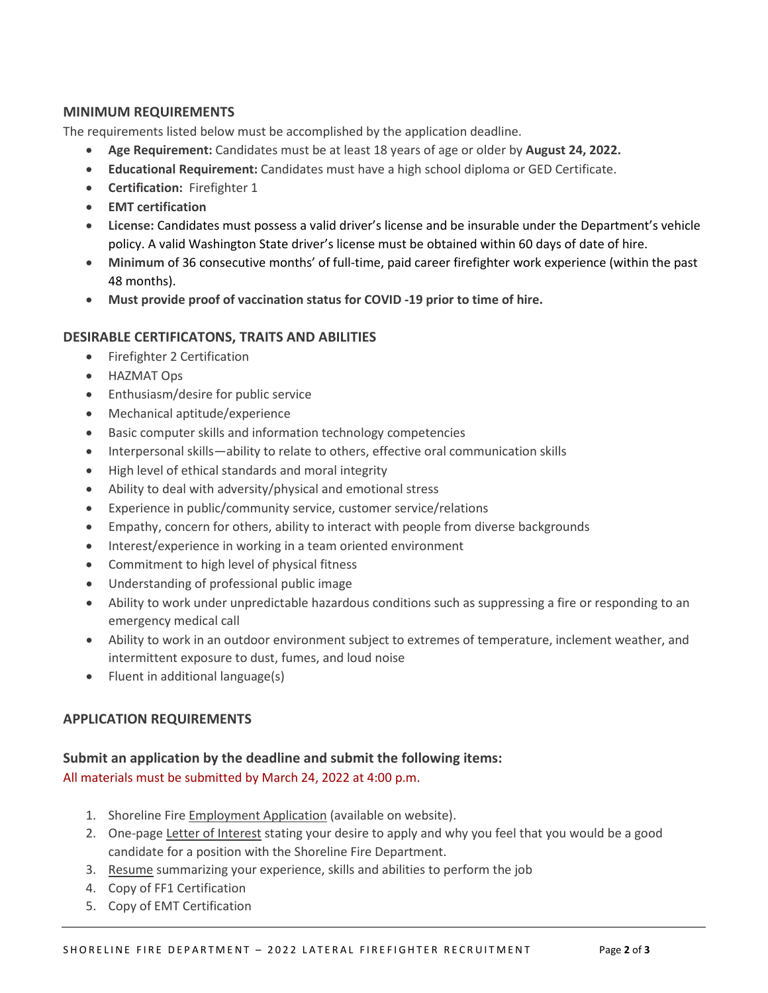#### **MINIMUM REQUIREMENTS**

The requirements listed below must be accomplished by the application deadline.

- **Age Requirement:** Candidates must be at least 18 years of age or older by **August 24, 2022.**
- **Educational Requirement:** Candidates must have a high school diploma or GED Certificate.
- **Certification:** Firefighter 1
- **EMT certification**
- **License:** Candidates must possess a valid driver's license and be insurable under the Department's vehicle policy. A valid Washington State driver's license must be obtained within 60 days of date of hire.
- **Minimum** of 36 consecutive months' of full-time, paid career firefighter work experience (within the past 48 months).
- **Must provide proof of vaccination status for COVID -19 prior to time of hire.**

#### **DESIRABLE CERTIFICATONS, TRAITS AND ABILITIES**

- Firefighter 2 Certification
- HAZMAT Ops
- Enthusiasm/desire for public service
- Mechanical aptitude/experience
- Basic computer skills and information technology competencies
- Interpersonal skills—ability to relate to others, effective oral communication skills
- High level of ethical standards and moral integrity
- Ability to deal with adversity/physical and emotional stress
- Experience in public/community service, customer service/relations
- Empathy, concern for others, ability to interact with people from diverse backgrounds
- Interest/experience in working in a team oriented environment
- Commitment to high level of physical fitness
- Understanding of professional public image
- Ability to work under unpredictable hazardous conditions such as suppressing a fire or responding to an emergency medical call
- Ability to work in an outdoor environment subject to extremes of temperature, inclement weather, and intermittent exposure to dust, fumes, and loud noise
- Fluent in additional language(s)

#### **APPLICATION REQUIREMENTS**

#### **Submit an application by the deadline and submit the following items:** All materials must be submitted by March 24, 2022 at 4:00 p.m.

- 1. Shoreline Fire Employment Application (available on website).
- 2. One-page Letter of Interest stating your desire to apply and why you feel that you would be a good candidate for a position with the Shoreline Fire Department.
- 3. Resume summarizing your experience, skills and abilities to perform the job
- 4. Copy of FF1 Certification
- 5. Copy of EMT Certification